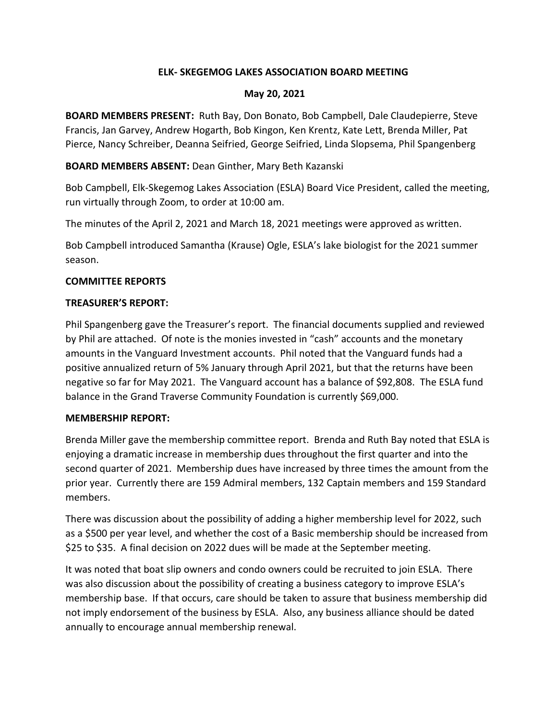# **ELK- SKEGEMOG LAKES ASSOCIATION BOARD MEETING**

#### **May 20, 2021**

**BOARD MEMBERS PRESENT:** Ruth Bay, Don Bonato, Bob Campbell, Dale Claudepierre, Steve Francis, Jan Garvey, Andrew Hogarth, Bob Kingon, Ken Krentz, Kate Lett, Brenda Miller, Pat Pierce, Nancy Schreiber, Deanna Seifried, George Seifried, Linda Slopsema, Phil Spangenberg

**BOARD MEMBERS ABSENT:** Dean Ginther, Mary Beth Kazanski

Bob Campbell, Elk-Skegemog Lakes Association (ESLA) Board Vice President, called the meeting, run virtually through Zoom, to order at 10:00 am.

The minutes of the April 2, 2021 and March 18, 2021 meetings were approved as written.

Bob Campbell introduced Samantha (Krause) Ogle, ESLA's lake biologist for the 2021 summer season.

# **COMMITTEE REPORTS**

#### **TREASURER'S REPORT:**

Phil Spangenberg gave the Treasurer's report. The financial documents supplied and reviewed by Phil are attached. Of note is the monies invested in "cash" accounts and the monetary amounts in the Vanguard Investment accounts. Phil noted that the Vanguard funds had a positive annualized return of 5% January through April 2021, but that the returns have been negative so far for May 2021. The Vanguard account has a balance of \$92,808. The ESLA fund balance in the Grand Traverse Community Foundation is currently \$69,000.

# **MEMBERSHIP REPORT:**

Brenda Miller gave the membership committee report. Brenda and Ruth Bay noted that ESLA is enjoying a dramatic increase in membership dues throughout the first quarter and into the second quarter of 2021. Membership dues have increased by three times the amount from the prior year. Currently there are 159 Admiral members, 132 Captain members and 159 Standard members.

There was discussion about the possibility of adding a higher membership level for 2022, such as a \$500 per year level, and whether the cost of a Basic membership should be increased from \$25 to \$35. A final decision on 2022 dues will be made at the September meeting.

It was noted that boat slip owners and condo owners could be recruited to join ESLA. There was also discussion about the possibility of creating a business category to improve ESLA's membership base. If that occurs, care should be taken to assure that business membership did not imply endorsement of the business by ESLA. Also, any business alliance should be dated annually to encourage annual membership renewal.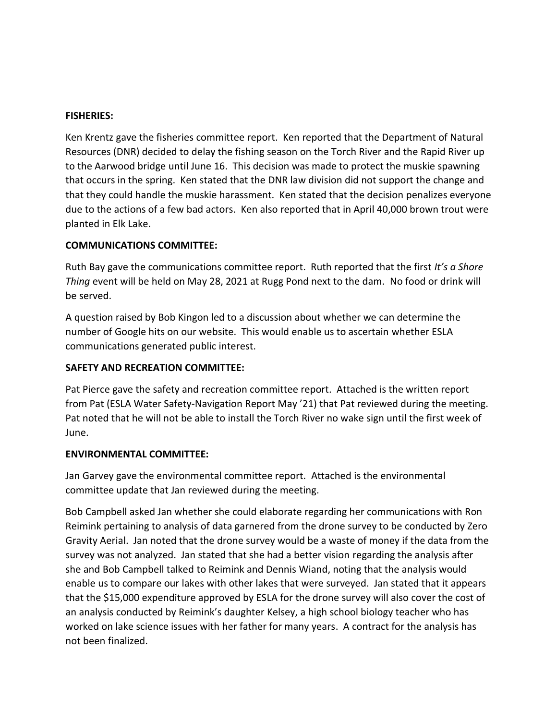#### **FISHERIES:**

Ken Krentz gave the fisheries committee report. Ken reported that the Department of Natural Resources (DNR) decided to delay the fishing season on the Torch River and the Rapid River up to the Aarwood bridge until June 16. This decision was made to protect the muskie spawning that occurs in the spring. Ken stated that the DNR law division did not support the change and that they could handle the muskie harassment. Ken stated that the decision penalizes everyone due to the actions of a few bad actors. Ken also reported that in April 40,000 brown trout were planted in Elk Lake.

# **COMMUNICATIONS COMMITTEE:**

Ruth Bay gave the communications committee report. Ruth reported that the first *It's a Shore Thing* event will be held on May 28, 2021 at Rugg Pond next to the dam. No food or drink will be served.

A question raised by Bob Kingon led to a discussion about whether we can determine the number of Google hits on our website. This would enable us to ascertain whether ESLA communications generated public interest.

# **SAFETY AND RECREATION COMMITTEE:**

Pat Pierce gave the safety and recreation committee report. Attached is the written report from Pat (ESLA Water Safety-Navigation Report May '21) that Pat reviewed during the meeting. Pat noted that he will not be able to install the Torch River no wake sign until the first week of June.

#### **ENVIRONMENTAL COMMITTEE:**

Jan Garvey gave the environmental committee report. Attached is the environmental committee update that Jan reviewed during the meeting.

Bob Campbell asked Jan whether she could elaborate regarding her communications with Ron Reimink pertaining to analysis of data garnered from the drone survey to be conducted by Zero Gravity Aerial. Jan noted that the drone survey would be a waste of money if the data from the survey was not analyzed. Jan stated that she had a better vision regarding the analysis after she and Bob Campbell talked to Reimink and Dennis Wiand, noting that the analysis would enable us to compare our lakes with other lakes that were surveyed. Jan stated that it appears that the \$15,000 expenditure approved by ESLA for the drone survey will also cover the cost of an analysis conducted by Reimink's daughter Kelsey, a high school biology teacher who has worked on lake science issues with her father for many years. A contract for the analysis has not been finalized.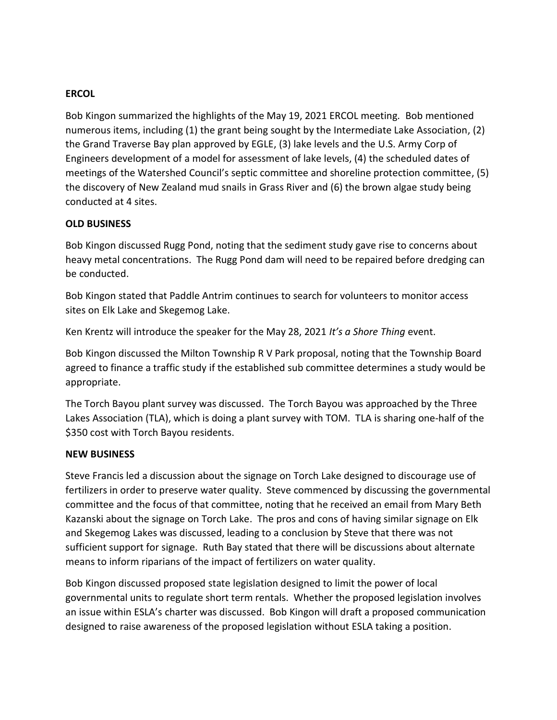# **ERCOL**

Bob Kingon summarized the highlights of the May 19, 2021 ERCOL meeting. Bob mentioned numerous items, including (1) the grant being sought by the Intermediate Lake Association, (2) the Grand Traverse Bay plan approved by EGLE, (3) lake levels and the U.S. Army Corp of Engineers development of a model for assessment of lake levels, (4) the scheduled dates of meetings of the Watershed Council's septic committee and shoreline protection committee, (5) the discovery of New Zealand mud snails in Grass River and (6) the brown algae study being conducted at 4 sites.

#### **OLD BUSINESS**

Bob Kingon discussed Rugg Pond, noting that the sediment study gave rise to concerns about heavy metal concentrations. The Rugg Pond dam will need to be repaired before dredging can be conducted.

Bob Kingon stated that Paddle Antrim continues to search for volunteers to monitor access sites on Elk Lake and Skegemog Lake.

Ken Krentz will introduce the speaker for the May 28, 2021 *It's a Shore Thing* event.

Bob Kingon discussed the Milton Township R V Park proposal, noting that the Township Board agreed to finance a traffic study if the established sub committee determines a study would be appropriate.

The Torch Bayou plant survey was discussed. The Torch Bayou was approached by the Three Lakes Association (TLA), which is doing a plant survey with TOM. TLA is sharing one-half of the \$350 cost with Torch Bayou residents.

#### **NEW BUSINESS**

Steve Francis led a discussion about the signage on Torch Lake designed to discourage use of fertilizers in order to preserve water quality. Steve commenced by discussing the governmental committee and the focus of that committee, noting that he received an email from Mary Beth Kazanski about the signage on Torch Lake. The pros and cons of having similar signage on Elk and Skegemog Lakes was discussed, leading to a conclusion by Steve that there was not sufficient support for signage. Ruth Bay stated that there will be discussions about alternate means to inform riparians of the impact of fertilizers on water quality.

Bob Kingon discussed proposed state legislation designed to limit the power of local governmental units to regulate short term rentals. Whether the proposed legislation involves an issue within ESLA's charter was discussed. Bob Kingon will draft a proposed communication designed to raise awareness of the proposed legislation without ESLA taking a position.